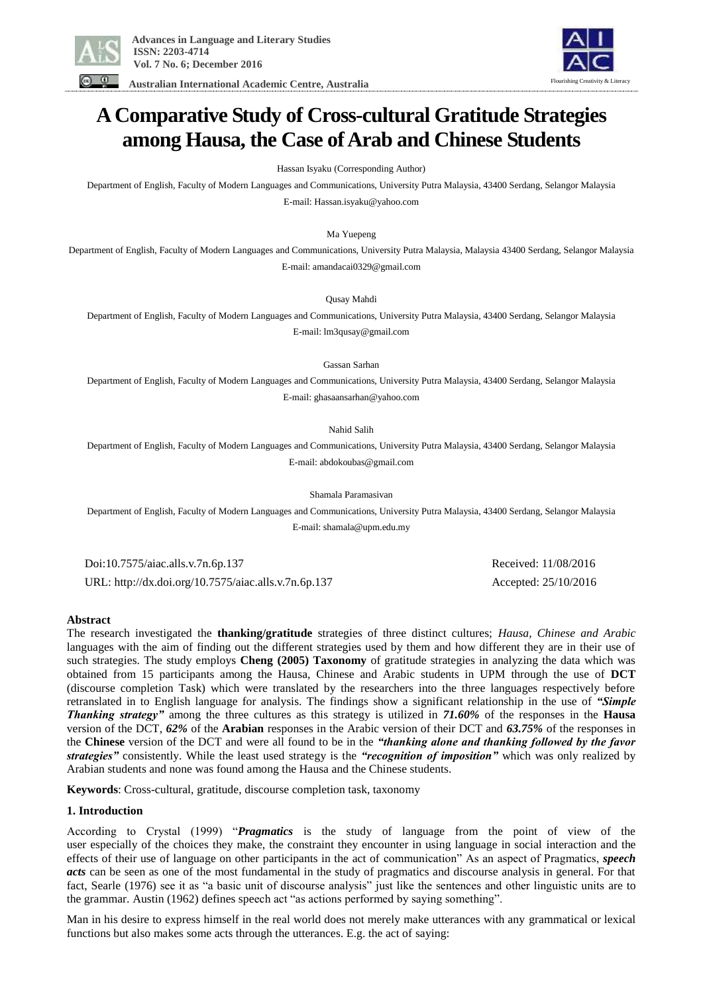

 **Australian International Academic Centre, Australia** 



# **A Comparative Study of Cross-cultural Gratitude Strategies among Hausa, the Case of Arab and Chinese Students**

Hassan Isyaku (Corresponding Author)

Department of English, Faculty of Modern Languages and Communications, University Putra Malaysia, 43400 Serdang, Selangor Malaysia E-mail: Hassan.isyaku@yahoo.com

Ma Yuepeng

Department of English, Faculty of Modern Languages and Communications, University Putra Malaysia, Malaysia 43400 Serdang, Selangor Malaysia E-mail: amandacai0329@gmail.com

Qusay Mahdi

Department of English, Faculty of Modern Languages and Communications, University Putra Malaysia, 43400 Serdang, Selangor Malaysia E-mail: lm3qusay@gmail.com

Gassan Sarhan

Department of English, Faculty of Modern Languages and Communications, University Putra Malaysia, 43400 Serdang, Selangor Malaysia E-mail: ghasaansarhan@yahoo.com

Nahid Salih

Department of English, Faculty of Modern Languages and Communications, University Putra Malaysia, 43400 Serdang, Selangor Malaysia E-mail: abdokoubas@gmail.com

Shamala Paramasivan

Department of English, Faculty of Modern Languages and Communications, University Putra Malaysia, 43400 Serdang, Selangor Malaysia E-mail: shamala@upm.edu.my

 Doi:10.7575/aiac.alls.v.7n.6p.137 Received: 11/08/2016 URL: http://dx.doi.org/10.7575/aiac.alls.v.7n.6p.137 Accepted: 25/10/2016

### **Abstract**

The research investigated the **thanking/gratitude** strategies of three distinct cultures; *Hausa, Chinese and Arabic* languages with the aim of finding out the different strategies used by them and how different they are in their use of such strategies. The study employs **Cheng (2005) Taxonomy** of gratitude strategies in analyzing the data which was obtained from 15 participants among the Hausa, Chinese and Arabic students in UPM through the use of **DCT** (discourse completion Task) which were translated by the researchers into the three languages respectively before retranslated in to English language for analysis. The findings show a significant relationship in the use of *"Simple Thanking strategy"* among the three cultures as this strategy is utilized in *71.60%* of the responses in the **Hausa**  version of the DCT, *62%* of the **Arabian** responses in the Arabic version of their DCT and *63.75%* of the responses in the **Chinese** version of the DCT and were all found to be in the *"thanking alone and thanking followed by the favor strategies"* consistently. While the least used strategy is the *"recognition of imposition"* which was only realized by Arabian students and none was found among the Hausa and the Chinese students.

**Keywords**: Cross-cultural, gratitude, discourse completion task, taxonomy

### **1. Introduction**

According to Crystal (1999) "*Pragmatics* is the study of language from the point of view of the user especially of the choices they make, the constraint they encounter in using language in social interaction and the effects of their use of language on other participants in the act of communication" As an aspect of Pragmatics, *speech acts* can be seen as one of the most fundamental in the study of pragmatics and discourse analysis in general. For that fact, Searle (1976) see it as "a basic unit of discourse analysis" just like the sentences and other linguistic units are to the grammar. Austin (1962) defines speech act "as actions performed by saying something".

Man in his desire to express himself in the real world does not merely make utterances with any grammatical or lexical functions but also makes some acts through the utterances. E.g. the act of saying: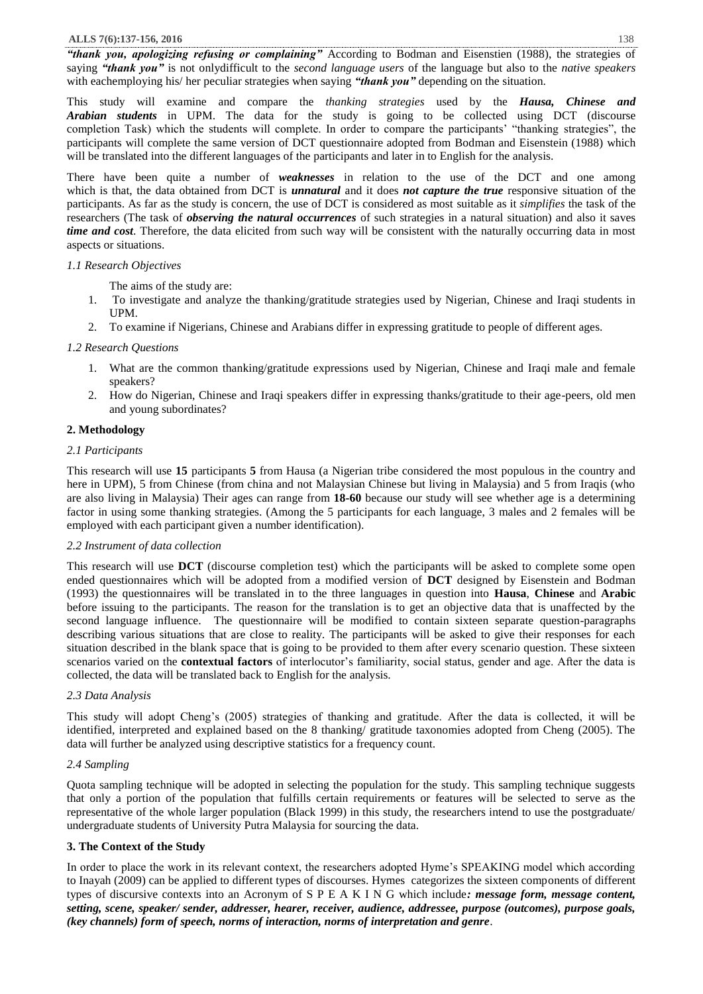*"thank you, apologizing refusing or complaining"* According to Bodman and Eisenstien (1988), the strategies of saying *"thank you"* is not onlydifficult to the *second language users* of the language but also to the *native speakers*  with eachemploying his/ her peculiar strategies when saying *"thank you"* depending on the situation.

This study will examine and compare the *thanking strategies* used by the *Hausa, Chinese and Arabian students* in UPM. The data for the study is going to be collected using DCT (discourse completion Task) which the students will complete. In order to compare the participants' "thanking strategies", the participants will complete the same version of DCT questionnaire adopted from Bodman and Eisenstein (1988) which will be translated into the different languages of the participants and later in to English for the analysis.

There have been quite a number of *weaknesses* in relation to the use of the DCT and one among which is that, the data obtained from DCT is *unnatural* and it does *not capture the true* responsive situation of the participants. As far as the study is concern, the use of DCT is considered as most suitable as it *simplifies* the task of the researchers (The task of *observing the natural occurrences* of such strategies in a natural situation) and also it saves *time and cost*. Therefore, the data elicited from such way will be consistent with the naturally occurring data in most aspects or situations.

### *1.1 Research Objectives*

The aims of the study are:

- 1. To investigate and analyze the thanking/gratitude strategies used by Nigerian, Chinese and Iraqi students in UPM.
- 2. To examine if Nigerians, Chinese and Arabians differ in expressing gratitude to people of different ages.

# *1.2 Research Questions*

- 1. What are the common thanking/gratitude expressions used by Nigerian, Chinese and Iraqi male and female speakers?
- 2. How do Nigerian, Chinese and Iraqi speakers differ in expressing thanks/gratitude to their age-peers, old men and young subordinates?

# **2. Methodology**

### *2.1 Participants*

This research will use **15** participants **5** from Hausa (a Nigerian tribe considered the most populous in the country and here in UPM), 5 from Chinese (from china and not Malaysian Chinese but living in Malaysia) and 5 from Iraqis (who are also living in Malaysia) Their ages can range from **18-60** because our study will see whether age is a determining factor in using some thanking strategies. (Among the 5 participants for each language, 3 males and 2 females will be employed with each participant given a number identification).

### *2.2 Instrument of data collection*

This research will use **DCT** (discourse completion test) which the participants will be asked to complete some open ended questionnaires which will be adopted from a modified version of **DCT** designed by Eisenstein and Bodman (1993) the questionnaires will be translated in to the three languages in question into **Hausa**, **Chinese** and **Arabic** before issuing to the participants. The reason for the translation is to get an objective data that is unaffected by the second language influence. The questionnaire will be modified to contain sixteen separate question-paragraphs describing various situations that are close to reality. The participants will be asked to give their responses for each situation described in the blank space that is going to be provided to them after every scenario question. These sixteen scenarios varied on the **contextual factors** of interlocutor's familiarity, social status, gender and age. After the data is collected, the data will be translated back to English for the analysis.

# *2.3 Data Analysis*

This study will adopt Cheng's (2005) strategies of thanking and gratitude. After the data is collected, it will be identified, interpreted and explained based on the 8 thanking/ gratitude taxonomies adopted from Cheng (2005). The data will further be analyzed using descriptive statistics for a frequency count.

# *2.4 Sampling*

Quota sampling technique will be adopted in selecting the population for the study. This sampling technique suggests that only a portion of the population that fulfills certain requirements or features will be selected to serve as the representative of the whole larger population (Black 1999) in this study, the researchers intend to use the postgraduate/ undergraduate students of University Putra Malaysia for sourcing the data.

# **3. The Context of the Study**

In order to place the work in its relevant context, the researchers adopted Hyme's SPEAKING model which according to Inayah (2009) can be applied to different types of discourses. Hymes categorizes the sixteen components of different types of discursive contexts into an Acronym of S P E A K I N G which include*: message form, message content, setting, scene, speaker/ sender, addresser, hearer, receiver, audience, addressee, purpose (outcomes), purpose goals, (key channels) form of speech, norms of interaction, norms of interpretation and genre*.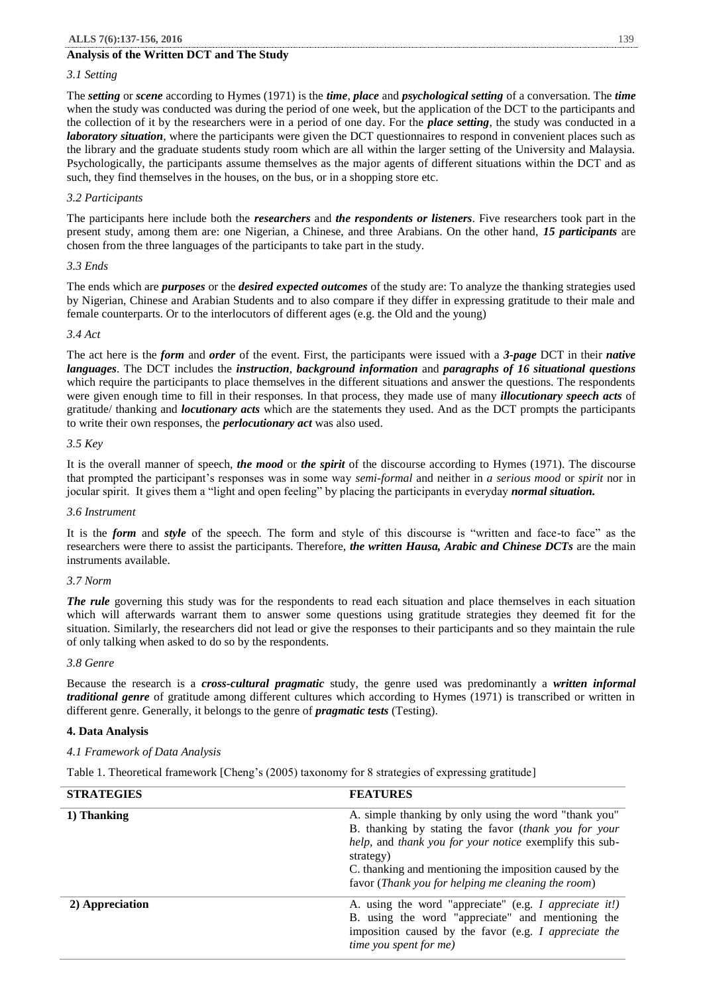# **Analysis of the Written DCT and The Study**

# *3.1 Setting*

The *setting* or *scene* according to Hymes (1971) is the *time*, *place* and *psychological setting* of a conversation. The *time* when the study was conducted was during the period of one week, but the application of the DCT to the participants and the collection of it by the researchers were in a period of one day. For the *place setting*, the study was conducted in a *laboratory situation*, where the participants were given the DCT questionnaires to respond in convenient places such as the library and the graduate students study room which are all within the larger setting of the University and Malaysia. Psychologically, the participants assume themselves as the major agents of different situations within the DCT and as such, they find themselves in the houses, on the bus, or in a shopping store etc.

# *3.2 Participants*

The participants here include both the *researchers* and *the respondents or listeners*. Five researchers took part in the present study, among them are: one Nigerian, a Chinese, and three Arabians. On the other hand, *15 participants* are chosen from the three languages of the participants to take part in the study.

### *3.3 Ends*

The ends which are *purposes* or the *desired expected outcomes* of the study are: To analyze the thanking strategies used by Nigerian, Chinese and Arabian Students and to also compare if they differ in expressing gratitude to their male and female counterparts. Or to the interlocutors of different ages (e.g. the Old and the young)

### *3.4 Act*

The act here is the *form* and *order* of the event. First, the participants were issued with a *3-page* DCT in their *native languages*. The DCT includes the *instruction*, *background information* and *paragraphs of 16 situational questions* which require the participants to place themselves in the different situations and answer the questions. The respondents were given enough time to fill in their responses. In that process, they made use of many *illocutionary speech acts* of gratitude/ thanking and *locutionary acts* which are the statements they used. And as the DCT prompts the participants to write their own responses, the *perlocutionary act* was also used.

### *3.5 Key*

It is the overall manner of speech, *the mood* or *the spirit* of the discourse according to Hymes (1971). The discourse that prompted the participant's responses was in some way *semi-formal* and neither in *a serious mood* or *spirit* nor in jocular spirit. It gives them a "light and open feeling" by placing the participants in everyday *normal situation.*

### *3.6 Instrument*

It is the *form* and *style* of the speech. The form and style of this discourse is "written and face-to face" as the researchers were there to assist the participants. Therefore, *the written Hausa, Arabic and Chinese DCTs* are the main instruments available.

### *3.7 Norm*

*The rule* governing this study was for the respondents to read each situation and place themselves in each situation which will afterwards warrant them to answer some questions using gratitude strategies they deemed fit for the situation. Similarly, the researchers did not lead or give the responses to their participants and so they maintain the rule of only talking when asked to do so by the respondents.

### *3.8 Genre*

Because the research is a *cross-cultural pragmatic* study, the genre used was predominantly a *written informal traditional genre* of gratitude among different cultures which according to Hymes (1971) is transcribed or written in different genre. Generally, it belongs to the genre of *pragmatic tests* (Testing).

# **4. Data Analysis**

# *4.1 Framework of Data Analysis*

Table 1. Theoretical framework [Cheng's (2005) taxonomy for 8 strategies of expressing gratitude]

| <b>STRATEGIES</b> | <b>FEATURES</b>                                                                                                                                                                                                                                                                                        |
|-------------------|--------------------------------------------------------------------------------------------------------------------------------------------------------------------------------------------------------------------------------------------------------------------------------------------------------|
| 1) Thanking       | A. simple thanking by only using the word "thank you"<br>B. thanking by stating the favor (thank you for your<br>help, and thank you for your notice exemplify this sub-<br>strategy)<br>C. thanking and mentioning the imposition caused by the<br>favor (Thank you for helping me cleaning the room) |
| 2) Appreciation   | A. using the word "appreciate" (e.g. I appreciate it!)<br>B. using the word "appreciate" and mentioning the<br>imposition caused by the favor (e.g. I appreciate the<br><i>time</i> you spent for me)                                                                                                  |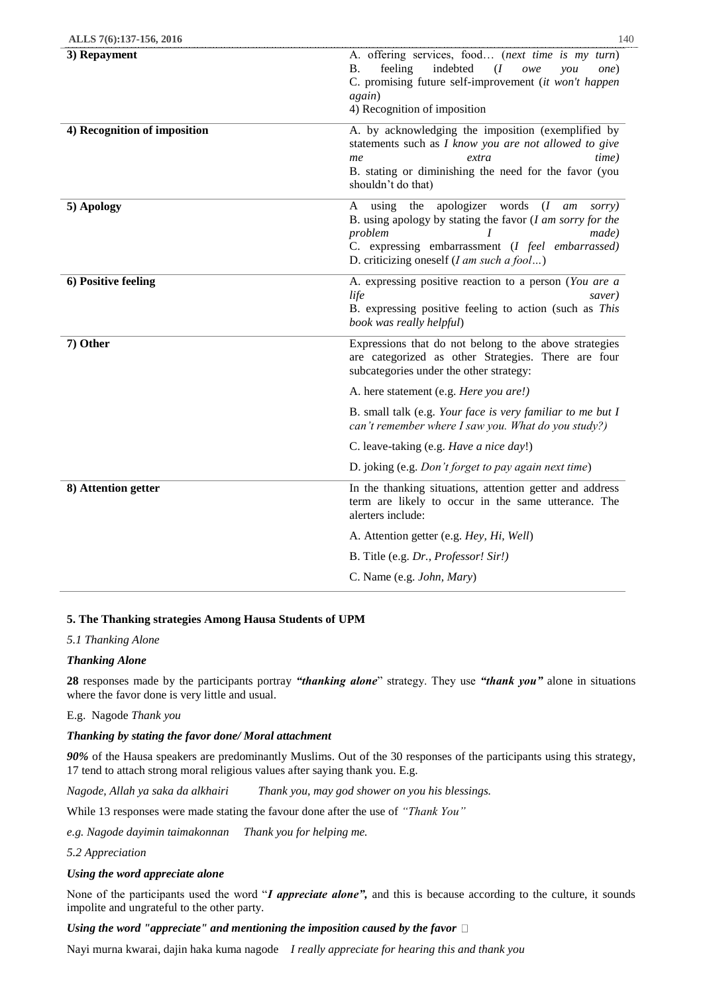| ALLS 7(6):137-156, 2016      | 140                                                                                                                                                                                                                                                                             |
|------------------------------|---------------------------------------------------------------------------------------------------------------------------------------------------------------------------------------------------------------------------------------------------------------------------------|
| 3) Repayment                 | A. offering services, food (next time is my turn)<br>feeling<br>indebted<br>В.<br>(I<br>owe<br>you<br>one)<br>C. promising future self-improvement (it won't happen<br>again)<br>4) Recognition of imposition                                                                   |
| 4) Recognition of imposition | A. by acknowledging the imposition (exemplified by<br>statements such as I know you are not allowed to give<br>extra<br>time)<br>me<br>B. stating or diminishing the need for the favor (you<br>shouldn't do that)                                                              |
| 5) Apology                   | the apologizer words<br>(I<br>A<br>using<br>am<br>sorry)<br>B. using apology by stating the favor $(I \text{ am} \text{ sorry} \text{ for the})$<br>problem<br>made)<br>C. expressing embarrassment (I feel embarrassed)<br>D. criticizing oneself $(I \text{ am such a fool})$ |
| 6) Positive feeling          | A. expressing positive reaction to a person (You are a<br>life<br>saver)<br>B. expressing positive feeling to action (such as This<br>book was really helpful)                                                                                                                  |
| 7) Other                     | Expressions that do not belong to the above strategies<br>are categorized as other Strategies. There are four<br>subcategories under the other strategy:                                                                                                                        |
|                              | A. here statement (e.g. Here you are!)                                                                                                                                                                                                                                          |
|                              | B. small talk (e.g. Your face is very familiar to me but I<br>can't remember where I saw you. What do you study?)                                                                                                                                                               |
|                              | C. leave-taking (e.g. <i>Have a nice day!</i> )                                                                                                                                                                                                                                 |
|                              | D. joking (e.g. Don't forget to pay again next time)                                                                                                                                                                                                                            |
| 8) Attention getter          | In the thanking situations, attention getter and address<br>term are likely to occur in the same utterance. The<br>alerters include:                                                                                                                                            |
|                              | A. Attention getter (e.g. Hey, Hi, Well)                                                                                                                                                                                                                                        |
|                              | B. Title (e.g. Dr., Professor! Sir!)                                                                                                                                                                                                                                            |
|                              | C. Name (e.g. John, Mary)                                                                                                                                                                                                                                                       |
|                              |                                                                                                                                                                                                                                                                                 |

# **5. The Thanking strategies Among Hausa Students of UPM**

# *5.1 Thanking Alone*

# *Thanking Alone*

**28** responses made by the participants portray *"thanking alone*" strategy. They use *"thank you"* alone in situations where the favor done is very little and usual.

### E.g. Nagode *Thank you*

### *Thanking by stating the favor done/ Moral attachment*

*90%* of the Hausa speakers are predominantly Muslims. Out of the 30 responses of the participants using this strategy, 17 tend to attach strong moral religious values after saying thank you. E.g.

*Nagode, Allah ya saka da alkhairi Thank you, may god shower on you his blessings.*

While 13 responses were made stating the favour done after the use of *"Thank You"*

*e.g. Nagode dayimin taimakonnan Thank you for helping me.*

# *5.2 Appreciation*

### *Using the word appreciate alone*

None of the participants used the word "*I appreciate alone",* and this is because according to the culture, it sounds impolite and ungrateful to the other party.

### *Using the word "appreciate" and mentioning the imposition caused by the favor*

Nayi murna kwarai, dajin haka kuma nagode *I really appreciate for hearing this and thank you*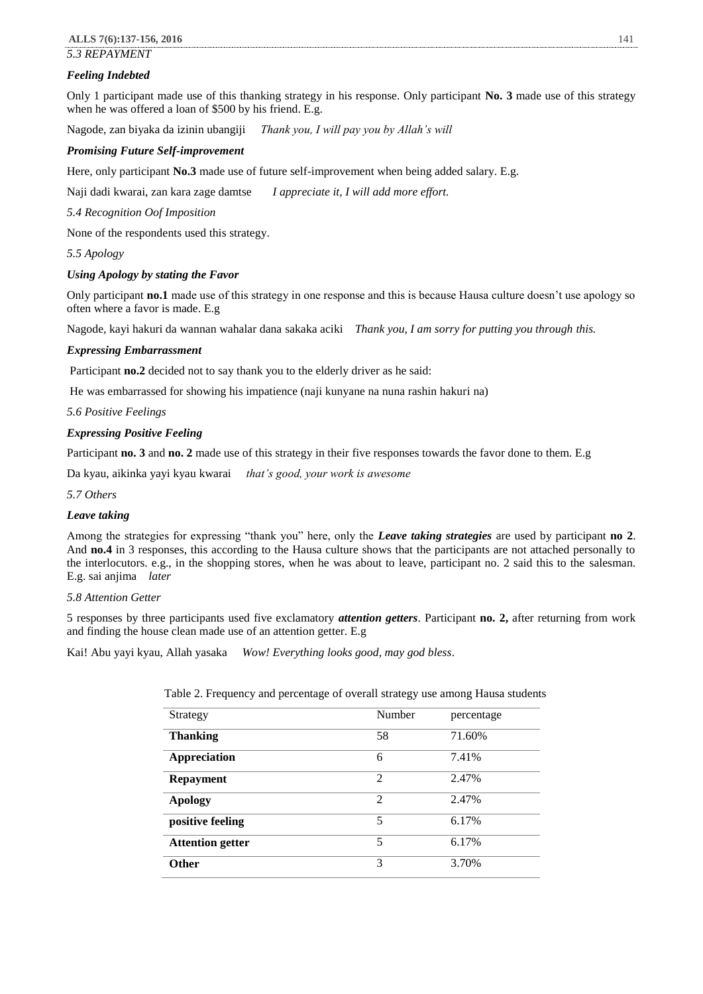# *5.3 REPAYMENT*

# *Feeling Indebted*

Only 1 participant made use of this thanking strategy in his response. Only participant **No. 3** made use of this strategy when he was offered a loan of \$500 by his friend. E.g.

Nagode, zan biyaka da izinin ubangiji *Thank you, I will pay you by Allah's will*

# *Promising Future Self-improvement*

Here, only participant **No.3** made use of future self-improvement when being added salary. E.g.

Naji dadi kwarai, zan kara zage damtse *I appreciate it, I will add more effort.*

*5.4 Recognition Oof Imposition*

None of the respondents used this strategy.

*5.5 Apology*

# *Using Apology by stating the Favor*

Only participant **no.1** made use of this strategy in one response and this is because Hausa culture doesn't use apology so often where a favor is made. E.g

Nagode, kayi hakuri da wannan wahalar dana sakaka aciki *Thank you, I am sorry for putting you through this.*

# *Expressing Embarrassment*

Participant **no.2** decided not to say thank you to the elderly driver as he said:

He was embarrassed for showing his impatience (naji kunyane na nuna rashin hakuri na)

*5.6 Positive Feelings*

### *Expressing Positive Feeling*

Participant **no. 3** and **no. 2** made use of this strategy in their five responses towards the favor done to them. E.g

Da kyau, aikinka yayi kyau kwarai *that's good, your work is awesome*

*5.7 Others*

# *Leave taking*

Among the strategies for expressing "thank you" here, only the *Leave taking strategies* are used by participant **no 2**. And **no.4** in 3 responses, this according to the Hausa culture shows that the participants are not attached personally to the interlocutors. e.g., in the shopping stores, when he was about to leave, participant no. 2 said this to the salesman. E.g. sai anjima *later*

*5.8 Attention Getter*

5 responses by three participants used five exclamatory *attention getters*. Participant **no. 2,** after returning from work and finding the house clean made use of an attention getter. E.g

Kai! Abu yayi kyau, Allah yasaka *Wow! Everything looks good, may god bless*.

| Strategy                | Number         | percentage |
|-------------------------|----------------|------------|
| <b>Thanking</b>         | 58             | 71.60%     |
| Appreciation            | 6              | 7.41%      |
| <b>Repayment</b>        | $\mathfrak{D}$ | 2.47%      |
| <b>Apology</b>          | $\overline{2}$ | 2.47%      |
| positive feeling        | 5              | 6.17%      |
| <b>Attention getter</b> | 5              | 6.17%      |
| <b>Other</b>            | 3              | 3.70%      |

Table 2. Frequency and percentage of overall strategy use among Hausa students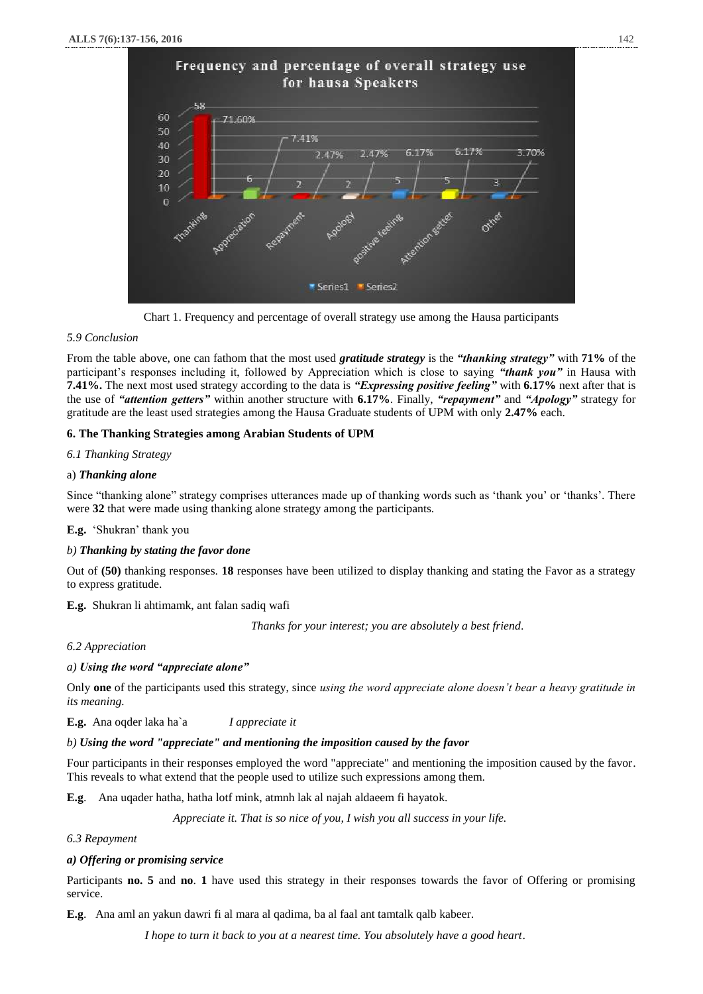

Chart 1. Frequency and percentage of overall strategy use among the Hausa participants

### *5.9 Conclusion*

From the table above, one can fathom that the most used *gratitude strategy* is the *"thanking strategy"* with **71%** of the participant's responses including it, followed by Appreciation which is close to saying *"thank you"* in Hausa with **7.41%.** The next most used strategy according to the data is *"Expressing positive feeling"* with **6.17%** next after that is the use of *"attention getters"* within another structure with **6.17%**. Finally, *"repayment"* and *"Apology"* strategy for gratitude are the least used strategies among the Hausa Graduate students of UPM with only **2.47%** each.

### **6. The Thanking Strategies among Arabian Students of UPM**

*6.1 Thanking Strategy*

### a) *Thanking alone*

Since "thanking alone" strategy comprises utterances made up of thanking words such as 'thank you' or 'thanks'. There were **32** that were made using thanking alone strategy among the participants.

### **E.g.** 'Shukran' thank you

# *b) Thanking by stating the favor done*

Out of **(50)** thanking responses. **18** responses have been utilized to display thanking and stating the Favor as a strategy to express gratitude.

**E.g.** Shukran li ahtimamk, ant falan sadiq wafi

 *Thanks for your interest; you are absolutely a best friend*.

### *6.2 Appreciation*

### *a) Using the word "appreciate alone"*

Only **one** of the participants used this strategy, since *using the word appreciate alone doesn't bear a heavy gratitude in its meaning.*

**E.g.** Ana oqder laka ha`a *I appreciate it*

### *b) Using the word "appreciate" and mentioning the imposition caused by the favor*

Four participants in their responses employed the word "appreciate" and mentioning the imposition caused by the favor. This reveals to what extend that the people used to utilize such expressions among them.

**E.g**. Ana uqader hatha, hatha lotf mink, atmnh lak al najah aldaeem fi hayatok.

*Appreciate it. That is so nice of you, I wish you all success in your life.*

*6.3 Repayment*

# *a) Offering or promising service*

Participants **no. 5** and **no**. **1** have used this strategy in their responses towards the favor of Offering or promising service.

**E.g**. Ana aml an yakun dawri fi al mara al qadima, ba al faal ant tamtalk qalb kabeer.

 *I hope to turn it back to you at a nearest time. You absolutely have a good heart*.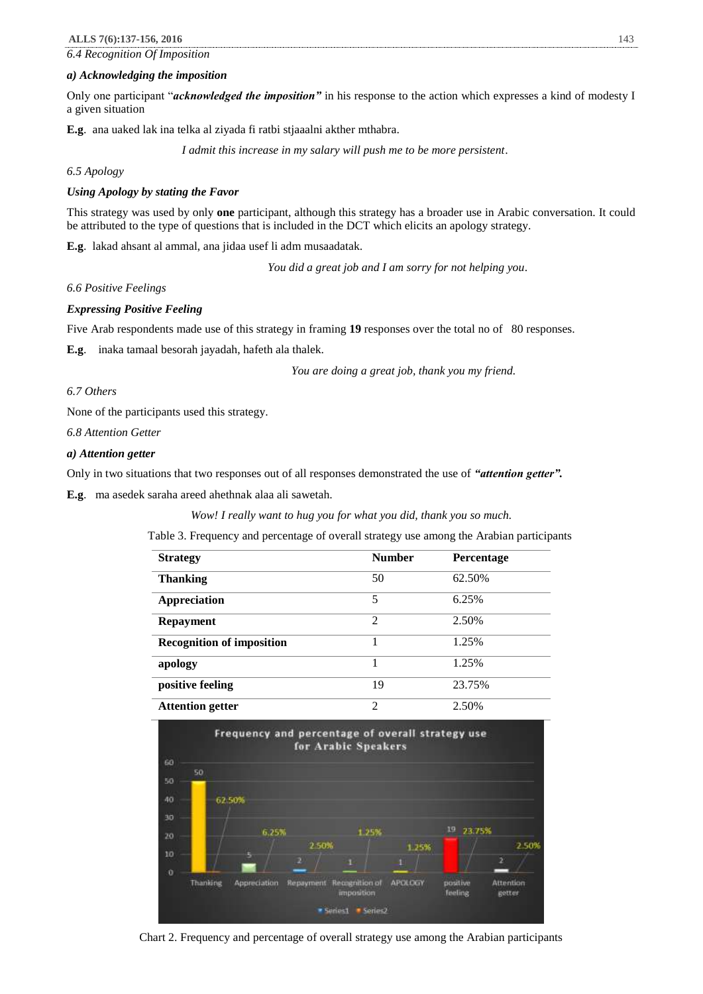*6.4 Recognition Of Imposition*

#### *a) Acknowledging the imposition*

Only one participant "*acknowledged the imposition"* in his response to the action which expresses a kind of modesty I a given situation

**E.g**. ana uaked lak ina telka al ziyada fi ratbi stjaaalni akther mthabra.

 *I admit this increase in my salary will push me to be more persistent*.

*6.5 Apology*

### *Using Apology by stating the Favor*

This strategy was used by only **one** participant, although this strategy has a broader use in Arabic conversation. It could be attributed to the type of questions that is included in the DCT which elicits an apology strategy.

**E.g**. lakad ahsant al ammal, ana jidaa usef li adm musaadatak.

 *You did a great job and I am sorry for not helping you*.

*6.6 Positive Feelings*

#### *Expressing Positive Feeling*

Five Arab respondents made use of this strategy in framing 19 responses over the total no of 80 responses.

**E.g**. inaka tamaal besorah jayadah, hafeth ala thalek.

*You are doing a great job, thank you my friend.*

#### *6.7 Others*

None of the participants used this strategy.

*6.8 Attention Getter*

### *a) Attention getter*

Only in two situations that two responses out of all responses demonstrated the use of *"attention getter".* 

**E.g**. ma asedek saraha areed ahethnak alaa ali sawetah.

*Wow! I really want to hug you for what you did, thank you so much.*

Table 3. Frequency and percentage of overall strategy use among the Arabian participants

| <b>Strategy</b>                  | <b>Number</b>  | <b>Percentage</b> |
|----------------------------------|----------------|-------------------|
| <b>Thanking</b>                  | 50             | 62.50%            |
| <b>Appreciation</b>              | 5              | 6.25%             |
| <b>Repayment</b>                 | $\mathfrak{D}$ | 2.50%             |
| <b>Recognition of imposition</b> |                | 1.25%             |
| apology                          |                | 1.25%             |
| positive feeling                 | 19             | 23.75%            |
| <b>Attention getter</b>          | $\mathfrak{D}$ | 2.50%             |



Chart 2. Frequency and percentage of overall strategy use among the Arabian participants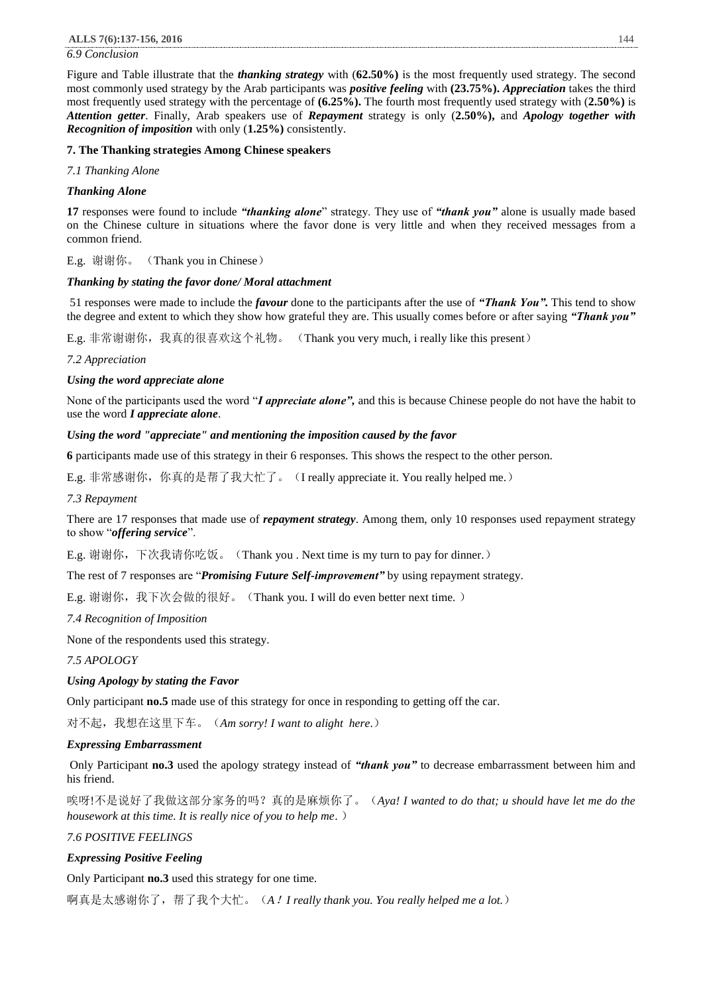### *6.9 Conclusion*

Figure and Table illustrate that the *thanking strategy* with (**62.50%)** is the most frequently used strategy. The second most commonly used strategy by the Arab participants was *positive feeling* with **(23.75%).** *Appreciation* takes the third most frequently used strategy with the percentage of **(6.25%).** The fourth most frequently used strategy with (**2.50%)** is *Attention getter*. Finally, Arab speakers use of *Repayment* strategy is only (**2.50%),** and *Apology together with Recognition of imposition* with only (**1.25%)** consistently.

### **7. The Thanking strategies Among Chinese speakers**

*7.1 Thanking Alone*

### *Thanking Alone*

**17** responses were found to include *"thanking alone*" strategy. They use of *"thank you"* alone is usually made based on the Chinese culture in situations where the favor done is very little and when they received messages from a common friend.

E.g. 谢谢你。 (Thank you in Chinese)

### *Thanking by stating the favor done/ Moral attachment*

51 responses were made to include the *favour* done to the participants after the use of *"Thank You".* This tend to show the degree and extent to which they show how grateful they are. This usually comes before or after saying *"Thank you"*

E.g. 非常谢谢你, 我真的很喜欢这个礼物。 (Thank you very much, i really like this present)

*7.2 Appreciation*

### *Using the word appreciate alone*

None of the participants used the word "*I appreciate alone",* and this is because Chinese people do not have the habit to use the word *I appreciate alone*.

### *Using the word "appreciate" and mentioning the imposition caused by the favor*

**6** participants made use of this strategy in their 6 responses. This shows the respect to the other person.

E.g. 非常感谢你,你真的是帮了我大忙了。(I really appreciate it. You really helped me.)

# *7.3 Repayment*

There are 17 responses that made use of *repayment strategy*. Among them, only 10 responses used repayment strategy to show "*offering service*".

E.g. 谢谢你, 下次我请你吃饭。 (Thank you . Next time is my turn to pay for dinner.)

The rest of 7 responses are "*Promising Future Self-improvement"* by using repayment strategy.

E.g. 谢谢你, 我下次会做的很好。 (Thank you. I will do even better next time.)

*7.4 Recognition of Imposition*

None of the respondents used this strategy.

*7.5 APOLOGY*

# *Using Apology by stating the Favor*

Only participant **no.5** made use of this strategy for once in responding to getting off the car.

对不起,我想在这里下车。(*Am sorry! I want to alight here*.)

### *Expressing Embarrassment*

Only Participant **no.3** used the apology strategy instead of *"thank you"* to decrease embarrassment between him and his friend.

唉呀!不是说好了我做这部分家务的吗?真的是麻烦你了。(*Aya! I wanted to do that; u should have let me do the housework at this time. It is really nice of you to help me*. )

### *7.6 POSITIVE FEELINGS*

# *Expressing Positive Feeling*

Only Participant **no.3** used this strategy for one time.

啊真是太感谢你了,帮了我个大忙。(*A*!*I really thank you. You really helped me a lot.*)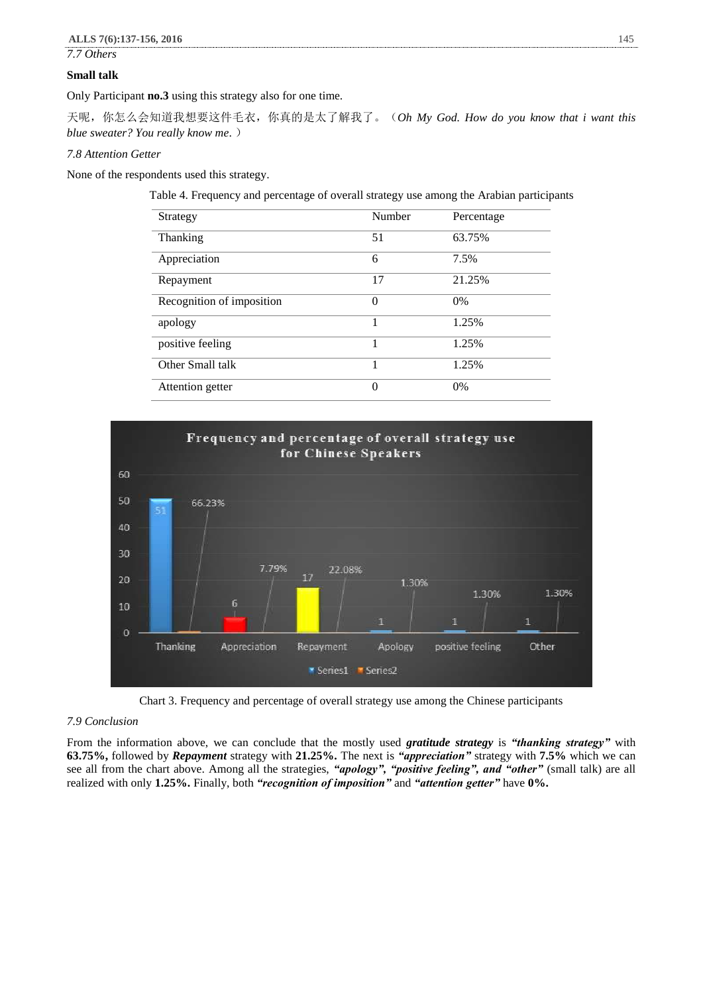*7.7 Others*

### **Small talk**

Only Participant **no.3** using this strategy also for one time.

天呢,你怎么会知道我想要这件毛衣,你真的是太了解我了。(*Oh My God. How do you know that i want this blue sweater? You really know me*. )

# *7.8 Attention Getter*

None of the respondents used this strategy.

Table 4. Frequency and percentage of overall strategy use among the Arabian participants

| Strategy                  | Number   | Percentage |
|---------------------------|----------|------------|
| Thanking                  | 51       | 63.75%     |
| Appreciation              | 6        | 7.5%       |
| Repayment                 | 17       | 21.25%     |
| Recognition of imposition | $\Omega$ | 0%         |
| apology                   |          | 1.25%      |
| positive feeling          |          | 1.25%      |
| Other Small talk          | 1        | 1.25%      |
| Attention getter          | $\Omega$ | 0%         |



Chart 3. Frequency and percentage of overall strategy use among the Chinese participants

### *7.9 Conclusion*

From the information above, we can conclude that the mostly used *gratitude strategy* is *"thanking strategy"* with **63.75%,** followed by *Repayment* strategy with **21.25%.** The next is *"appreciation"* strategy with **7.5%** which we can see all from the chart above. Among all the strategies, *"apology", "positive feeling", and "other"* (small talk) are all realized with only **1.25%.** Finally, both *"recognition of imposition"* and *"attention getter"* have **0%.**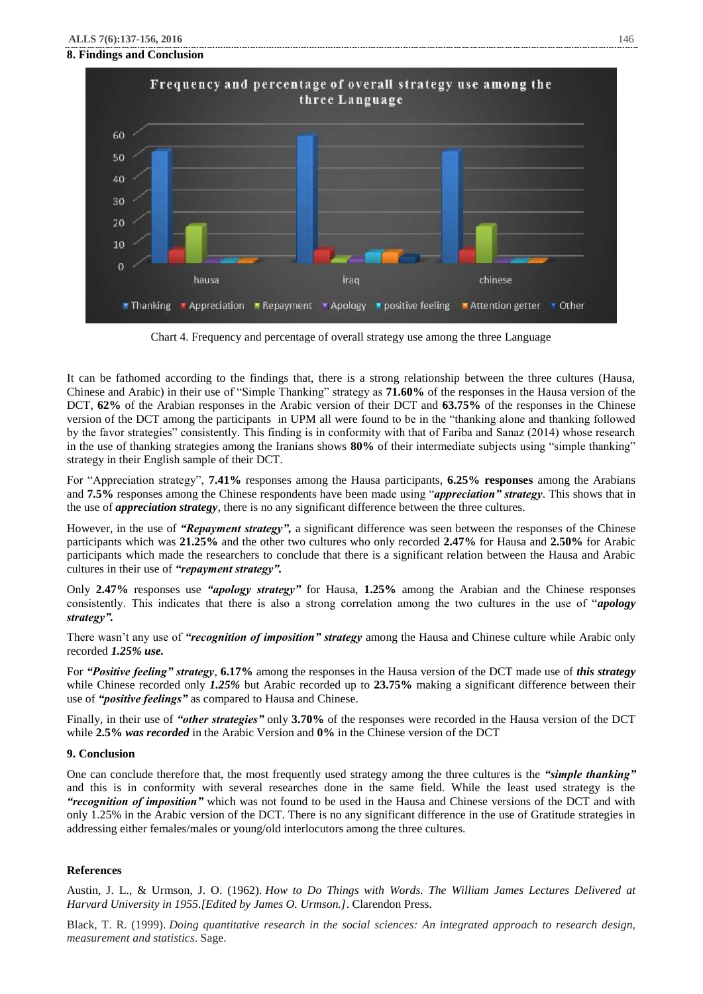# **8. Findings and Conclusion**



Chart 4. Frequency and percentage of overall strategy use among the three Language

It can be fathomed according to the findings that, there is a strong relationship between the three cultures (Hausa, Chinese and Arabic) in their use of "Simple Thanking" strategy as **71.60%** of the responses in the Hausa version of the DCT, **62%** of the Arabian responses in the Arabic version of their DCT and **63.75%** of the responses in the Chinese version of the DCT among the participants in UPM all were found to be in the "thanking alone and thanking followed by the favor strategies" consistently. This finding is in conformity with that of Fariba and Sanaz (2014) whose research in the use of thanking strategies among the Iranians shows **80%** of their intermediate subjects using "simple thanking" strategy in their English sample of their DCT.

For "Appreciation strategy", **7.41%** responses among the Hausa participants, **6.25% responses** among the Arabians and **7.5%** responses among the Chinese respondents have been made using "*appreciation" strategy*. This shows that in the use of *appreciation strategy*, there is no any significant difference between the three cultures.

However, in the use of "*Repayment strategy*", a significant difference was seen between the responses of the Chinese participants which was **21.25%** and the other two cultures who only recorded **2.47%** for Hausa and **2.50%** for Arabic participants which made the researchers to conclude that there is a significant relation between the Hausa and Arabic cultures in their use of *"repayment strategy".*

Only **2.47%** responses use *"apology strategy"* for Hausa, **1.25%** among the Arabian and the Chinese responses consistently. This indicates that there is also a strong correlation among the two cultures in the use of "*apology strategy".*

There wasn't any use of *"recognition of imposition" strategy* among the Hausa and Chinese culture while Arabic only recorded *1.25% use.* 

For *"Positive feeling" strategy*, **6.17%** among the responses in the Hausa version of the DCT made use of *this strategy* while Chinese recorded only 1.25% but Arabic recorded up to 23.75% making a significant difference between their use of *"positive feelings"* as compared to Hausa and Chinese.

Finally, in their use of *"other strategies"* only **3.70%** of the responses were recorded in the Hausa version of the DCT while **2.5%** *was recorded* in the Arabic Version and **0%** in the Chinese version of the DCT

# **9. Conclusion**

One can conclude therefore that, the most frequently used strategy among the three cultures is the *"simple thanking"* and this is in conformity with several researches done in the same field. While the least used strategy is the *"recognition of imposition"* which was not found to be used in the Hausa and Chinese versions of the DCT and with only 1.25% in the Arabic version of the DCT. There is no any significant difference in the use of Gratitude strategies in addressing either females/males or young/old interlocutors among the three cultures.

# **References**

Austin, J. L., & Urmson, J. O. (1962). *How to Do Things with Words. The William James Lectures Delivered at Harvard University in 1955.[Edited by James O. Urmson.]*. Clarendon Press.

Black, T. R. (1999). *Doing quantitative research in the social sciences: An integrated approach to research design, measurement and statistics*. Sage.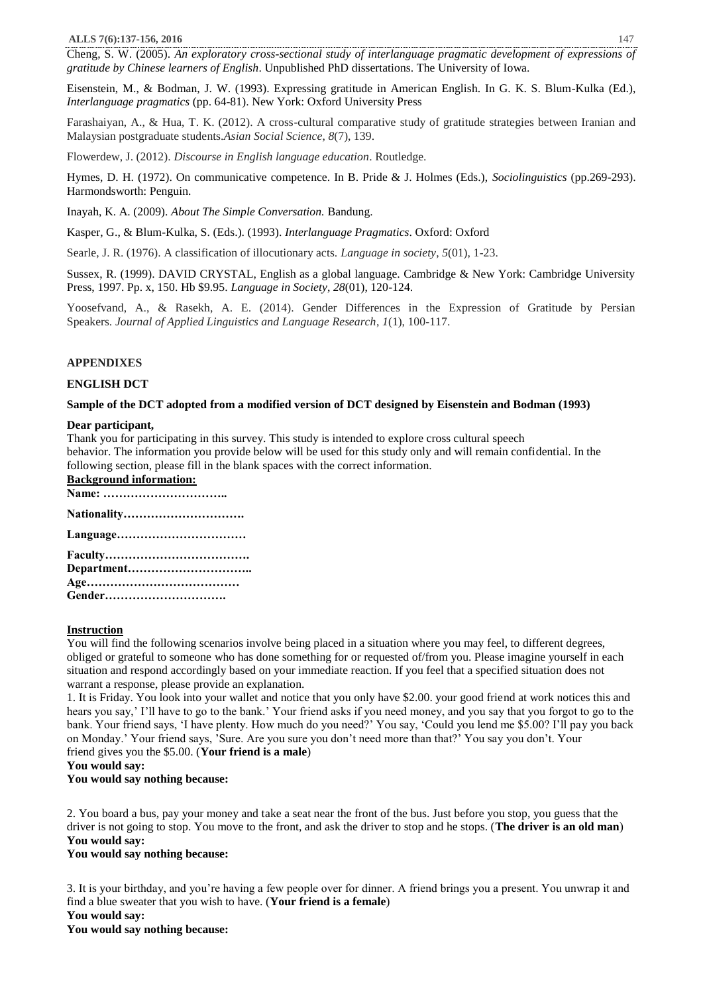Cheng, S. W. (2005). *An exploratory cross-sectional study of interlanguage pragmatic development of expressions of gratitude by Chinese learners of English*. Unpublished PhD dissertations. The University of Iowa.

Eisenstein, M., & Bodman, J. W. (1993). Expressing gratitude in American English. In G. K. S. Blum-Kulka (Ed.), *Interlanguage pragmatics* (pp. 64-81). New York: Oxford University Press

Farashaiyan, A., & Hua, T. K. (2012). A cross-cultural comparative study of gratitude strategies between Iranian and Malaysian postgraduate students.*Asian Social Science*, *8*(7), 139.

Flowerdew, J. (2012). *Discourse in English language education*. Routledge.

Hymes, D. H. (1972). On communicative competence. In B. Pride & J. Holmes (Eds.), *Sociolinguistics* (pp.269-293). Harmondsworth: Penguin.

Inayah, K. A. (2009). *About The Simple Conversation.* Bandung.

Kasper, G., & Blum-Kulka, S. (Eds.). (1993). *Interlanguage Pragmatics*. Oxford: Oxford

Searle, J. R. (1976). A classification of illocutionary acts. *Language in society*, *5*(01), 1-23.

Sussex, R. (1999). DAVID CRYSTAL, English as a global language. Cambridge & New York: Cambridge University Press, 1997. Pp. x, 150. Hb \$9.95. *Language in Society*, *28*(01), 120-124.

Yoosefvand, A., & Rasekh, A. E. (2014). Gender Differences in the Expression of Gratitude by Persian Speakers. *Journal of Applied Linguistics and Language Research*, *1*(1), 100-117.

# **APPENDIXES**

# **ENGLISH DCT**

# **Sample of the DCT adopted from a modified version of DCT designed by Eisenstein and Bodman (1993)**

### **Dear participant,**

Thank you for participating in this survey. This study is intended to explore cross cultural speech behavior. The information you provide below will be used for this study only and will remain confidential. In the following section, please fill in the blank spaces with the correct information. **Background information:**

| Dacket build throit mation. |
|-----------------------------|
|                             |
| Notionality                 |

| 11au - 11au - 12au - 12au - 12au - 12au - 12au - 12au - 12au - 12au - 12au - 12au - 12au - 12au - 12au - 12au |
|---------------------------------------------------------------------------------------------------------------|
|                                                                                                               |
|                                                                                                               |
|                                                                                                               |
|                                                                                                               |
| Gender                                                                                                        |

# **Instruction**

You will find the following scenarios involve being placed in a situation where you may feel, to different degrees, obliged or grateful to someone who has done something for or requested of/from you. Please imagine yourself in each situation and respond accordingly based on your immediate reaction. If you feel that a specified situation does not warrant a response, please provide an explanation.

1. It is Friday. You look into your wallet and notice that you only have \$2.00. your good friend at work notices this and hears you say,' I'll have to go to the bank.' Your friend asks if you need money, and you say that you forgot to go to the bank. Your friend says, 'I have plenty. How much do you need?' You say, 'Could you lend me \$5.00? I'll pay you back on Monday.' Your friend says, 'Sure. Are you sure you don't need more than that?' You say you don't. Your friend gives you the \$5.00. (**Your friend is a male**)

**You would say:**

# **You would say nothing because:**

2. You board a bus, pay your money and take a seat near the front of the bus. Just before you stop, you guess that the driver is not going to stop. You move to the front, and ask the driver to stop and he stops. (**The driver is an old man**) **You would say:**

# **You would say nothing because:**

3. It is your birthday, and you're having a few people over for dinner. A friend brings you a present. You unwrap it and find a blue sweater that you wish to have. (**Your friend is a female**)

**You would say:**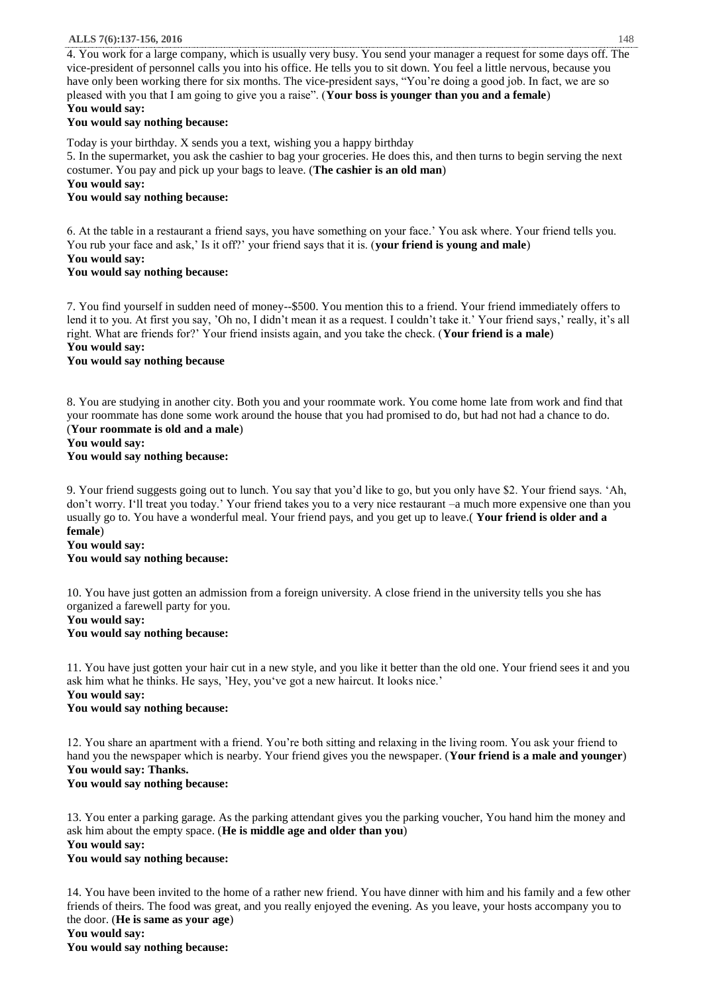4. You work for a large company, which is usually very busy. You send your manager a request for some days off. The vice-president of personnel calls you into his office. He tells you to sit down. You feel a little nervous, because you have only been working there for six months. The vice-president says, "You're doing a good job. In fact, we are so pleased with you that I am going to give you a raise". (**Your boss is younger than you and a female**) **You would say:**

### **You would say nothing because:**

Today is your birthday. X sends you a text, wishing you a happy birthday

5. In the supermarket, you ask the cashier to bag your groceries. He does this, and then turns to begin serving the next costumer. You pay and pick up your bags to leave. (**The cashier is an old man**)

**You would say:**

**You would say nothing because:**

6. At the table in a restaurant a friend says, you have something on your face.' You ask where. Your friend tells you. You rub your face and ask,' Is it off?' your friend says that it is. (**your friend is young and male**)

# **You would say:**

### **You would say nothing because:**

7. You find yourself in sudden need of money--\$500. You mention this to a friend. Your friend immediately offers to lend it to you. At first you say, 'Oh no, I didn't mean it as a request. I couldn't take it.' Your friend says,' really, it's all right. What are friends for?' Your friend insists again, and you take the check. (**Your friend is a male**) **You would say:**

# **You would say nothing because**

8. You are studying in another city. Both you and your roommate work. You come home late from work and find that your roommate has done some work around the house that you had promised to do, but had not had a chance to do. (**Your roommate is old and a male**)

# **You would say: You would say nothing because:**

9. Your friend suggests going out to lunch. You say that you'd like to go, but you only have \$2. Your friend says. 'Ah, don't worry. I'll treat you today.' Your friend takes you to a very nice restaurant –a much more expensive one than you usually go to. You have a wonderful meal. Your friend pays, and you get up to leave.( **Your friend is older and a female**)

# **You would say:**

# **You would say nothing because:**

10. You have just gotten an admission from a foreign university. A close friend in the university tells you she has organized a farewell party for you.

# **You would say:**

# **You would say nothing because:**

11. You have just gotten your hair cut in a new style, and you like it better than the old one. Your friend sees it and you ask him what he thinks. He says, 'Hey, you've got a new haircut. It looks nice.' **You would say: You would say nothing because:**

12. You share an apartment with a friend. You're both sitting and relaxing in the living room. You ask your friend to hand you the newspaper which is nearby. Your friend gives you the newspaper. (**Your friend is a male and younger**) **You would say: Thanks. You would say nothing because:**

13. You enter a parking garage. As the parking attendant gives you the parking voucher, You hand him the money and ask him about the empty space. (**He is middle age and older than you**) **You would say:**

# **You would say nothing because:**

14. You have been invited to the home of a rather new friend. You have dinner with him and his family and a few other friends of theirs. The food was great, and you really enjoyed the evening. As you leave, your hosts accompany you to the door. (**He is same as your age**)

**You would say:**

**You would say nothing because:**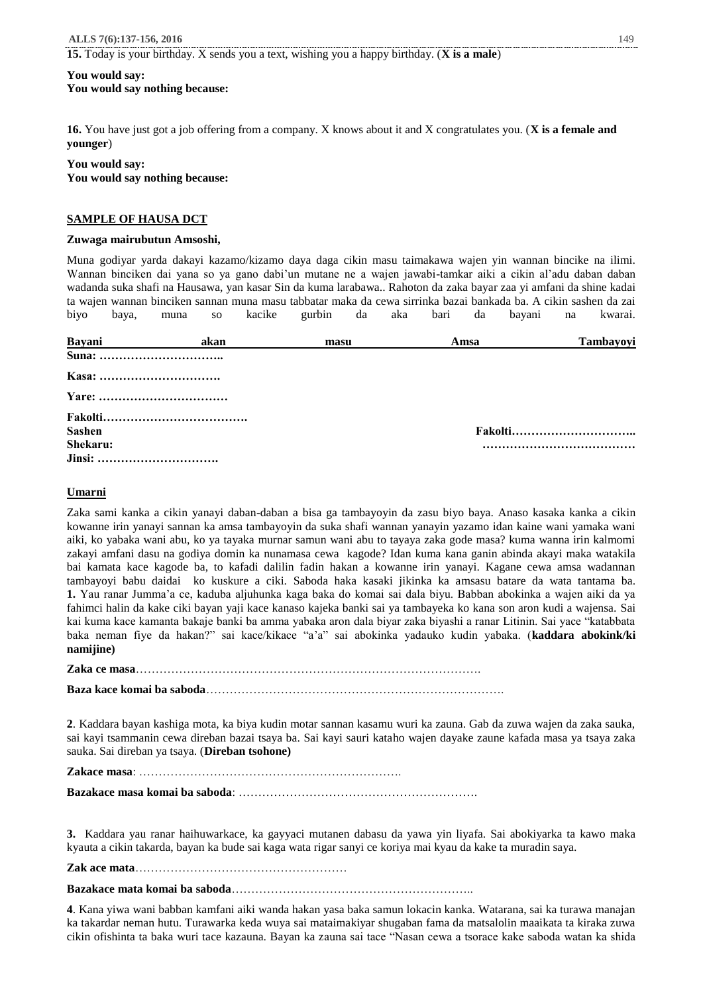**15.** Today is your birthday. X sends you a text, wishing you a happy birthday. (**X is a male**)

# **You would say:**

**You would say nothing because:**

**16.** You have just got a job offering from a company. X knows about it and X congratulates you. (**X is a female and younger**)

### **You would say:**

**You would say nothing because:**

### **SAMPLE OF HAUSA DCT**

#### **Zuwaga mairubutun Amsoshi,**

Muna godiyar yarda dakayi kazamo/kizamo daya daga cikin masu taimakawa wajen yin wannan bincike na ilimi. Wannan binciken dai yana so ya gano dabi'un mutane ne a wajen jawabi-tamkar aiki a cikin al'adu daban daban wadanda suka shafi na Hausawa, yan kasar Sin da kuma larabawa.. Rahoton da zaka bayar zaa yi amfani da shine kadai ta wajen wannan binciken sannan muna masu tabbatar maka da cewa sirrinka bazai bankada ba. A cikin sashen da zai biyo baya, muna so kacike gurbin da aka bari da bayani na kwarai.

| Bayani        | akan | masu | Amsa | Tambayoyi |
|---------------|------|------|------|-----------|
|               |      |      |      |           |
|               |      |      |      |           |
|               |      |      |      |           |
|               |      |      |      |           |
| <b>Sashen</b> |      |      |      |           |
| Shekaru:      |      |      |      |           |
| Jinsi:        |      |      |      |           |

### **Umarni**

Zaka sami kanka a cikin yanayi daban-daban a bisa ga tambayoyin da zasu biyo baya. Anaso kasaka kanka a cikin kowanne irin yanayi sannan ka amsa tambayoyin da suka shafi wannan yanayin yazamo idan kaine wani yamaka wani aiki, ko yabaka wani abu, ko ya tayaka murnar samun wani abu to tayaya zaka gode masa? kuma wanna irin kalmomi zakayi amfani dasu na godiya domin ka nunamasa cewa kagode? Idan kuma kana ganin abinda akayi maka watakila bai kamata kace kagode ba, to kafadi dalilin fadin hakan a kowanne irin yanayi. Kagane cewa amsa wadannan tambayoyi babu daidai ko kuskure a ciki. Saboda haka kasaki jikinka ka amsasu batare da wata tantama ba. **1.** Yau ranar Jumma'a ce, kaduba aljuhunka kaga baka do komai sai dala biyu. Babban abokinka a wajen aiki da ya fahimci halin da kake ciki bayan yaji kace kanaso kajeka banki sai ya tambayeka ko kana son aron kudi a wajensa. Sai kai kuma kace kamanta bakaje banki ba amma yabaka aron dala biyar zaka biyashi a ranar Litinin. Sai yace "katabbata baka neman fiye da hakan?" sai kace/kikace "a'a" sai abokinka yadauko kudin yabaka. (**kaddara abokink/ki namijine)**

**Zaka ce masa**…………………………………………………………………………….

**Baza kace komai ba saboda**………………………………………………………………….

**2**. Kaddara bayan kashiga mota, ka biya kudin motar sannan kasamu wuri ka zauna. Gab da zuwa wajen da zaka sauka, sai kayi tsammanin cewa direban bazai tsaya ba. Sai kayi sauri kataho wajen dayake zaune kafada masa ya tsaya zaka sauka. Sai direban ya tsaya. (**Direban tsohone)**

**Zakace masa**: ………………………………………………………….

**Bazakace masa komai ba saboda**: …………………………………………………….

**3.** Kaddara yau ranar haihuwarkace, ka gayyaci mutanen dabasu da yawa yin liyafa. Sai abokiyarka ta kawo maka kyauta a cikin takarda, bayan ka bude sai kaga wata rigar sanyi ce koriya mai kyau da kake ta muradin saya.

**Zak ace mata**………………………………………………

**Bazakace mata komai ba saboda**……………………………………………………..

**4**. Kana yiwa wani babban kamfani aiki wanda hakan yasa baka samun lokacin kanka. Watarana, sai ka turawa manajan ka takardar neman hutu. Turawarka keda wuya sai mataimakiyar shugaban fama da matsalolin maaikata ta kiraka zuwa cikin ofishinta ta baka wuri tace kazauna. Bayan ka zauna sai tace "Nasan cewa a tsorace kake saboda watan ka shida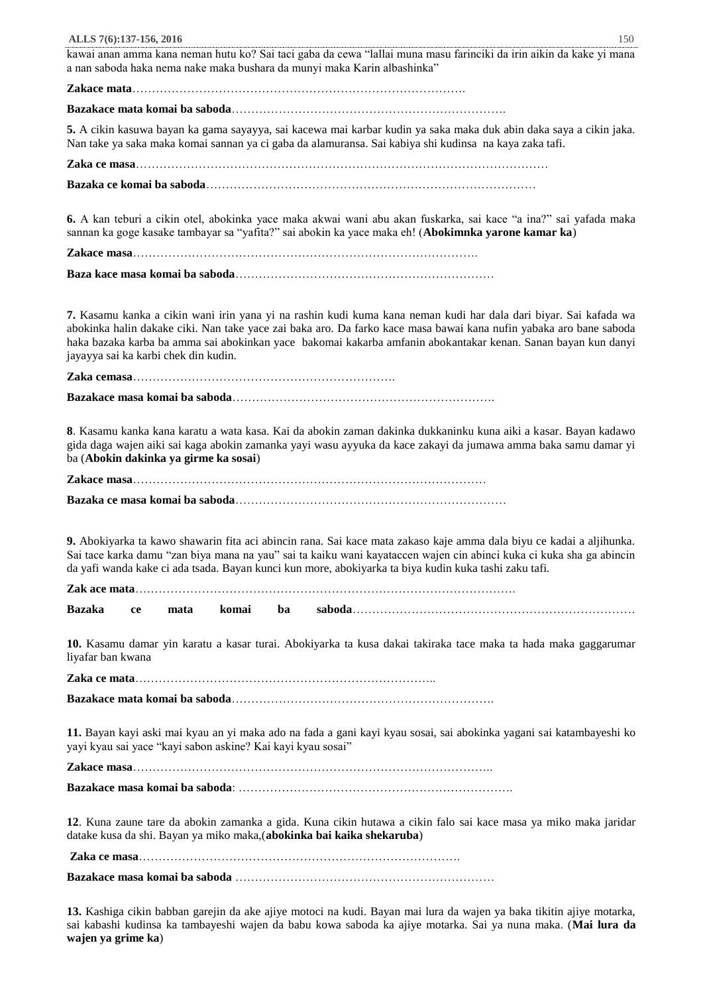kawai anan amma kana neman hutu ko? Sai taci gaba da cewa "lallai muna masu farinciki da irin aikin da kake yi mana a nan saboda haka nema nake maka bushara da munyi maka Karin albashinka"

**Zakace mata**………………………………………………………………………….

**Bazakace mata komai ba saboda**…………………………………………………………….

**5.** A cikin kasuwa bayan ka gama sayayya, sai kacewa mai karbar kudin ya saka maka duk abin daka saya a cikin jaka. Nan take ya saka maka komai sannan ya ci gaba da alamuransa. Sai kabiya shi kudinsa na kaya zaka tafi.

**Zaka ce masa**…………………………………………………………………………………………… **Bazaka ce komai ba saboda**…………………………………………………………………………

**6.** A kan teburi a cikin otel, abokinka yace maka akwai wani abu akan fuskarka, sai kace "a ina?" sai yafada maka sannan ka goge kasake tambayar sa "yafita?" sai abokin ka yace maka eh! (**Abokimnka yarone kamar ka**)

**Zakace masa**…………………………………………………………………………….

|--|--|--|--|--|--|--|

**7.** Kasamu kanka a cikin wani irin yana yi na rashin kudi kuma kana neman kudi har dala dari biyar. Sai kafada wa abokinka halin dakake ciki. Nan take yace zai baka aro. Da farko kace masa bawai kana nufin yabaka aro bane saboda haka bazaka karba ba amma sai abokinkan yace bakomai kakarba amfanin abokantakar kenan. Sanan bayan kun danyi jayayya sai ka karbi chek din kudin.

**Zaka cemasa**………………………………………………………….

**Bazakace masa komai ba saboda**………………………………………………………….

**8**. Kasamu kanka kana karatu a wata kasa. Kai da abokin zaman dakinka dukkaninku kuna aiki a kasar. Bayan kadawo gida daga wajen aiki sai kaga abokin zamanka yayi wasu ayyuka da kace zakayi da jumawa amma baka samu damar yi ba (**Abokin dakinka ya girme ka sosai**)

**Zakace masa**………………………………………………………………………………

**Bazaka ce masa komai ba saboda**……………………………………………………………

**9.** Abokiyarka ta kawo shawarin fita aci abincin rana. Sai kace mata zakaso kaje amma dala biyu ce kadai a aljihunka. Sai tace karka damu "zan biya mana na yau" sai ta kaiku wani kayataccen wajen cin abinci kuka ci kuka sha ga abincin da yafi wanda kake ci ada tsada. Bayan kunci kun more, abokiyarka ta biya kudin kuka tashi zaku tafi.

**Zak ace mata**…………………………………………………………………………………….

**Bazaka ce mata komai ba saboda**………………………………………………………………

**10.** Kasamu damar yin karatu a kasar turai. Abokiyarka ta kusa dakai takiraka tace maka ta hada maka gaggarumar liyafar ban kwana

**Bazakace mata komai ba saboda**………………………………………………………….

**Zaka ce mata**…………………………………………………………………..

**11.** Bayan kayi aski mai kyau an yi maka ado na fada a gani kayi kyau sosai, sai abokinka yagani sai katambayeshi ko yayi kyau sai yace "kayi sabon askine? Kai kayi kyau sosai"

**Zakace masa**………………………………………………………………………………..

**Bazakace masa komai ba saboda**: …………………………………………………………….

**12**. Kuna zaune tare da abokin zamanka a gida. Kuna cikin hutawa a cikin falo sai kace masa ya miko maka jaridar datake kusa da shi. Bayan ya miko maka,(**abokinka bai kaika shekaruba**)

**Zaka ce masa**……………………………………………………………………….

**Bazakace masa komai ba saboda** …………………………………………………………

**13.** Kashiga cikin babban garejin da ake ajiye motoci na kudi. Bayan mai lura da wajen ya baka tikitin ajiye motarka, sai kabashi kudinsa ka tambayeshi wajen da babu kowa saboda ka ajiye motarka. Sai ya nuna maka. (**Mai lura da wajen ya grime ka**)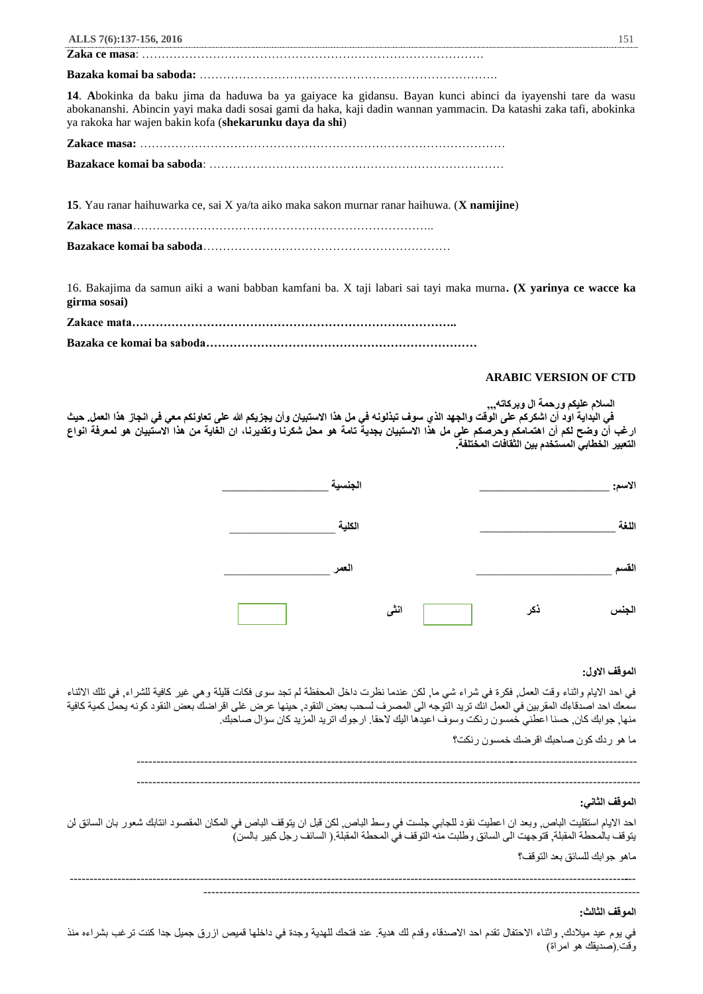**Bazaka komai ba saboda:** ………………………………………………………………….

**Zaka ce masa**: ……………………………………………………………………………

**14**. **A**bokinka da baku jima da haduwa ba ya gaiyace ka gidansu. Bayan kunci abinci da iyayenshi tare da wasu abokananshi. Abincin yayi maka dadi sosai gami da haka, kaji dadin wannan yammacin. Da katashi zaka tafi, abokinka ya rakoka har wajen bakin kofa (**shekarunku daya da shi**)

**Zakace masa:** …………………………………………………………………………………

**Bazakace komai ba saboda**: …………………………………………………………………

**15**. Yau ranar haihuwarka ce, sai X ya/ta aiko maka sakon murnar ranar haihuwa. (**X namijine**)

**Zakace masa**…………………………………………………………………..

**Bazakace komai ba saboda**………………………………………………………

16. Bakajima da samun aiki a wani babban kamfani ba. X taji labari sai tayi maka murna**. (X yarinya ce wacce ka girma sosai)**

### **ARABIC VERSION OF CTD**

|                                                                                                                                        | السلام عليكم ورحمة ال وبركاته,,,                |
|----------------------------------------------------------------------------------------------------------------------------------------|-------------------------------------------------|
| في البداية اود أن اشكركم على الوقت والجهد الذي سوف تبذلونه في مل هذا الاستبيان وأن يجزيكم الله على تعاونكم معي في انجاز هذا العمل. حيث |                                                 |
| ارغب أن وضح لكم أن اهتمامكم وحرصكم على مل هذا الاستبيان بجدية تامة هو محل شكرنا وتقديرنا، ان الغاية من هذا الاستبيان هو لمعرفة انواع   |                                                 |
|                                                                                                                                        | التعبير الخطابي المستخدم بين الثقافات المختلفة. |

| الاسم: |     |      | الجنسية |  |
|--------|-----|------|---------|--|
| اللغة  |     |      | الكلية  |  |
| القسم  |     |      | العمر   |  |
| الجنس  | ذكر | انشى |         |  |

# **الموقف االول:**

في احد االيام واثناء وقت العمل, فكرة في شراء شي ما, لكن عندما نظرت داخل المحفظة لم تجد سوى فكات قليلة وهي غير كافية للشراء, في تلك االثناء سمعك احد اصدقاءك المقربين في العمل انك تريد التوجه الى المصرف لسحب بعض النقود, حينها عرض غلى اقراضك بعض النقود كونه يحمل كمية كافية منها, جوابك كان, حسنا اعطني خمسون رنكت وسوف اعيدها اليك الحقا. ارجوك اتريد المزيد كان سؤال صاحبك.

ما هو ردك كون صاحبك اقرضك خمسون رنكت؟

------------------------------------------------------------------------------------------------------------------------------ -------------------------------------------------------------------------------------------------------------------------------

### **الموقف الثاني:**

احد الايام استقليت الباص, وبعد ان اعطيت نقود للجابي جلست في وسط الباص, لكن قبل ان يتوقف الباص في المكان المقصود انتابك شعور بان السائق لن يتوقف بالمحطة المقبلة, قتوجهت الى السائق وطلبت منه التوقف في المحطة المقبلة.( السائف رجل كبير بالسن)

ماهو جوابك للسائق بعد التوقف؟

----------------------------------------------------------------------------------------------------------------------------------------------- --------------------------------------------------------------------------------------------------------------

# **الموقف الثالث:**

في يوم عيد ميلادك, واثناء الاحتفال تقدم احد الاصدقاء وقدم لك هدية. عند فتحك للهدية وجدة في داخلها قميص ازرق جميل جدا كنت ترغب بشراءه منذ وقت (صديقك هو امراة)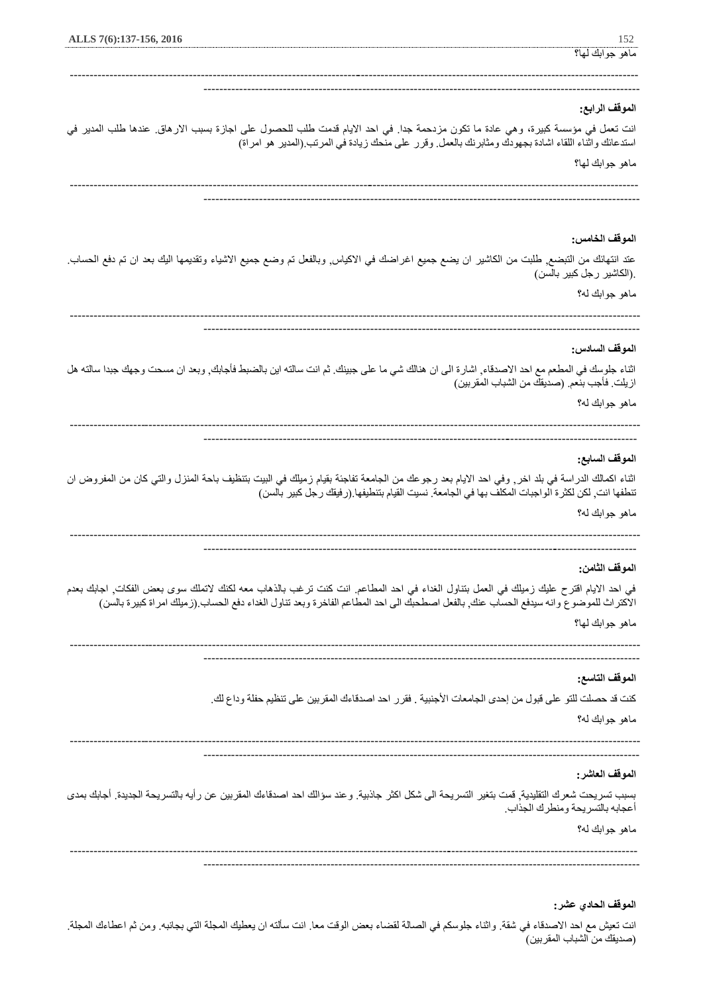# ماهو جوابك لها؟

--------------------------------------------------------------------------------------------------------------

# **الموقف الرابع:**

انت تعمل في مؤسسة كبيرة، وهي عادة ما تكون مزدحمة جدا. في احد االيام قدمت طلب للحصول على اجازة بسبب االرهاق. عندها طلب المدير في استدعائك واثناء اللقاء اشادة بجهودك ومثابرنك بالعمل. وقرر على منحك زيادة في المرتب.)المدير هو امراة(

------------------------------------------------------------------------------------------------------------------------------------------------

ماهو جوابك لها؟

# **الموقف الخامس:**

عتد انتهائك من التبضع, طلبت من الكاشير ان يضع جميع اغراضك في االكياس, وبالفعل تم وضع جميع االشياء وتقديمها اليك بعد ان تم دفع الحساب. .)الكاشير رجل كبير بالسن(

ماهو جوابك له؟

------------------------------------------------------------------------------------------------------------------------------------------------ --------------------------------------------------------------------------------------------------------------

### **الموقف السادس:**

اثناء جلوسك في المطعم مع احد االصدقاء, اشارة الى ان هنالك شي ما على جبينك. ثم انت سالته اين بالضبط فأجابك, وبعد ان مسحت وجهك جبدا سالته هل ازيلت. فأجب بنعم. (صديقك من الشباب المقربين)

ماهو جوابك له؟

------------------------------------------------------------------------------------------------------------------------------------------------ --------------------------------------------------------------------------------------------------------------

# **الموقف السابع:**

اثناء اكمالك الدراسة في بلد اخر, وفي احد االيام بعد رجوعك من الجامعة تفاجئة بقيام زميلك في البيت بتنظيف باحة المنزل والتي كان من المفروض ان تنطفها انت, لكن لكثرة الواجبات المكلف بها في الجامعة. نسيت القيام بتنطيفها.(رفيقك رجل كبير بالسن)

ماهو جوابك له؟

------------------------------------------------------------------------------------------------------------------------------------------------ -------------------------------------------------------------------------------------------------------------

# **الموقف الثامن:**

في احد االيام اقترح عليك زميلك في العمل بتناول الغداء في احد المطاعم. انت كنت ترغب بالذهاب معه لكنك التملك سوى بعض الفكات, اجابك بعدم االكتراث للموضوع وانه سيدفع الحساب عنك, بالفعل اصطحبك الى احد المطاعم الفاخرة وبعد تناول الغداء دفع الحساب.)زميلك امراة كبيرة بالسن(

ماهو جوابك لها؟

------------------------------------------------------------------------------------------------------------------------------------------------ --------------------------------------------------------------------------------------------------------------

# **الموقف التاسع:**

كنت قد حصلت للتو على قبول من إحدى الجامعات الأجنبية . فقرر احد اصدقاءك المقربين على تنظيم حفلة وداع لك.

ماهو جوابك له؟

------------------------------------------------------------------------------------------------------------------------------------------------ --------------------------------------------------------------------------------------------------------------

# **الموقف العاشر:**

بسبب تسريحت شعرك التقليدية, قمت بتغير التسريحة الى شكل اكثر جاذبية. وعند سؤالك احد اصدقاءك المقربين عن رأيه بالتسريحة الجديدة. أجابك بمدى أعجابه بالتسريحة ومنطرك الجذاب.

ماهو جوابك له؟

----------------------------------------------------------------------------------------------------------------------------------------------- --------------------------------------------------------------------------------------------------------------

### **الموقف الحادي عشر:**

انت تعيش مع احد االصدقاء في شقة. واثناء جلوسكم في الصالة لقضاء بعض الوقت معا. انت سألته ان يعطيك المجلة التي بجانبه. ومن ثم اعطاءك المجلة. )صديقك من الشباب المقربين(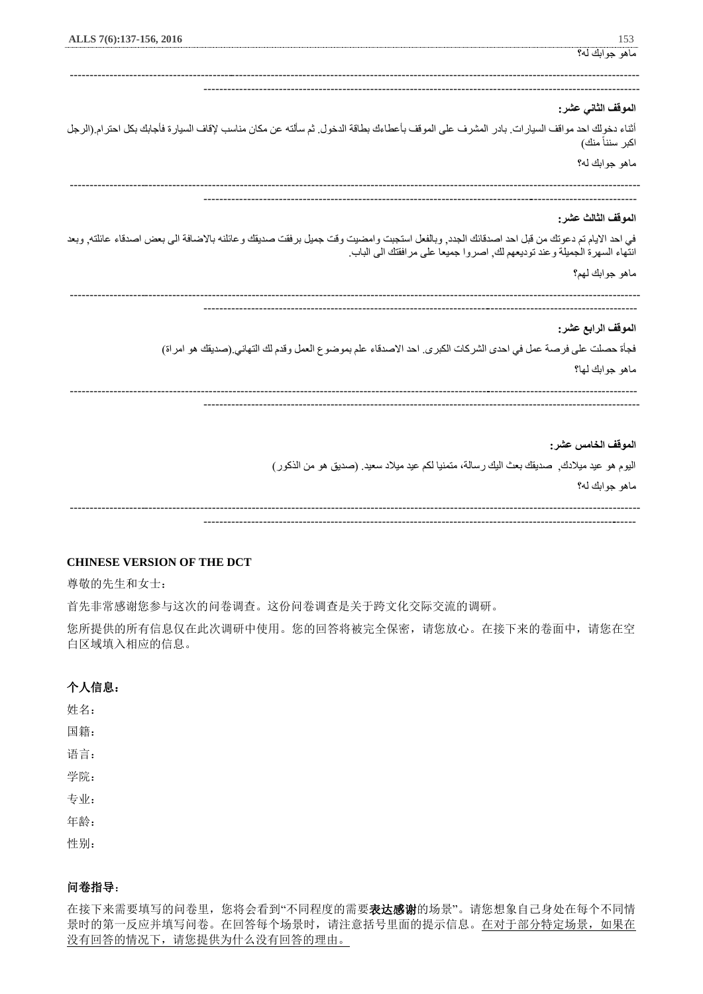| ALLS 7(6):137-156, 2016                                                                                                                    | 153                                                                                       |
|--------------------------------------------------------------------------------------------------------------------------------------------|-------------------------------------------------------------------------------------------|
|                                                                                                                                            | ماهو جوابك له؟                                                                            |
|                                                                                                                                            |                                                                                           |
|                                                                                                                                            | الموقف الثاني عشر:                                                                        |
| أثناء دخولك احد مواقف السيارات. بادر المشرف على الموقف بأعطاءك بطاقة الدخول. ثم سألته عن مكان مناسب لإقاف السيارة فأجابك بكل احترام (الرجل | اكبر سنناً منك)                                                                           |
|                                                                                                                                            | ماهو جوابك له؟                                                                            |
|                                                                                                                                            |                                                                                           |
|                                                                                                                                            | الموقف الثالث عشر:                                                                        |
| في احد الايام تم دعوتك من قبل احد اصدقائك الجدد, وبالفعل استجبت وامضبت وقت جميل برفقت صديقك وعائلنه بالاضافة الى بعض اصدقاء عائلته, وبعد   | انتهاء السهرة الجميلة وعند توديعهم لك, اصروا جميعا على مرافقتك الى الباب.                 |
|                                                                                                                                            | ماهو جوابك لهم؟                                                                           |
|                                                                                                                                            | الموقف الرابع عشر:                                                                        |
| فجأة حصلت على فرصة عمل في احدى الشركات الكبري. احد الاصدقاء علم بموضوع العمل وقدم لك التهاني (صديقك هو امراة)                              |                                                                                           |
|                                                                                                                                            | ماهو جوابك لها؟                                                                           |
|                                                                                                                                            |                                                                                           |
|                                                                                                                                            | الموقف الخامس عشر:                                                                        |
|                                                                                                                                            | اليوم هو عيد ميلادك, صديقك بعث اليك رسالة، متمنيا لكم عيد ميلاد سعيد. (صديق هو من الذكور) |
|                                                                                                                                            | ماهو جوابك له؟                                                                            |

------------------------------------------------------------------------------------------------------------------------------------------------ -------------------------------------------------------------------------------------------------------------

# **CHINESE VERSION OF THE DCT**

尊敬的先生和女士:

首先非常感谢您参与这次的问卷调查。这份问卷调查是关于跨文化交际交流的调研。

您所提供的所有信息仅在此次调研中使用。您的回答将被完全保密,请您放心。在接下来的卷面中,请您在空 白区域填入相应的信息。

# 个人信息:

姓名:

国籍:

语言:

学院:

专业:

年龄:

性别:

# 问卷指导:

在接下来需要填写的问卷里,您将会看到"不同程度的需要表达感谢的场景"。请您想象自己身处在每个不同情 景时的第一反应并填写问卷。在回答每个场景时,请注意括号里面的提示信息。在对于部分特定场景,如果在 没有回答的情况下,请您提供为什么没有回答的理由。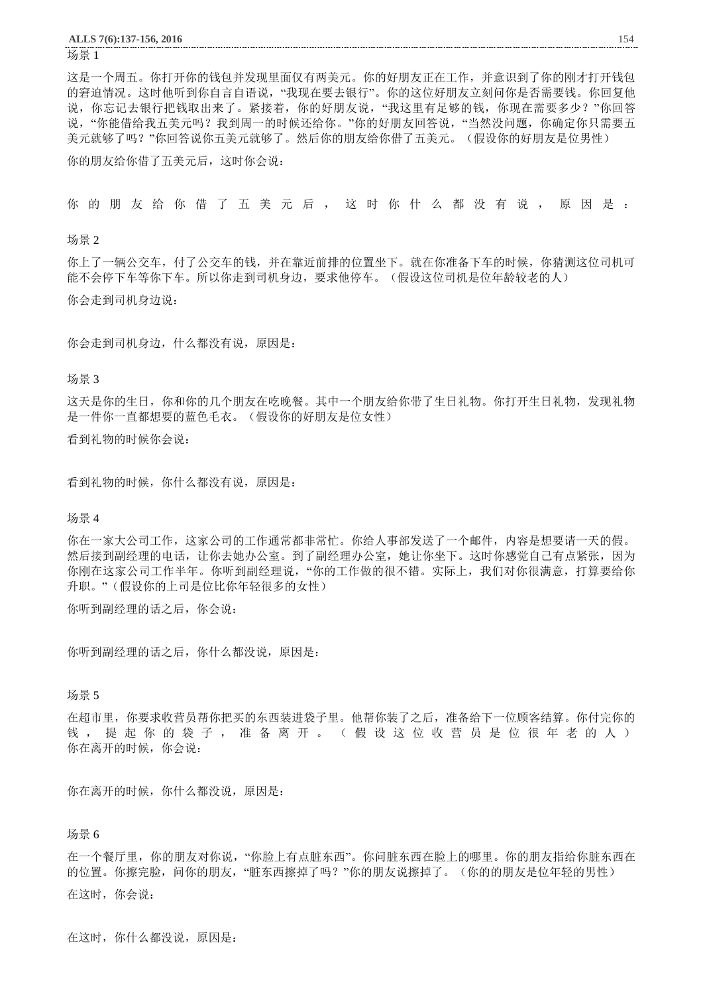#### 场景 1

这是一个周五。你打开你的钱包并发现里面仅有两美元。你的好朋友正在工作,并意识到了你的刚才打开钱包 的窘迫情况。这时他听到你自言自语说,"我现在要去银行"。你的这位好朋友立刻问你是否需要钱。你回复他 说,你忘记去银行把钱取出来了。紧接着,你的好朋友说,"我这里有足够的钱,你现在需要多少?"你回答 说,"你能借给我五美元吗?我到周一的时候还给你。"你的好朋友回答说,"当然没问题,你确定你只需要五 美元就够了吗?"你回答说你五美元就够了。然后你的朋友给你借了五美元。(假设你的好朋友是位男性)

你的朋友给你借了五美元后,这时你会说:

你 的 朋 友 给 你 借 了 五 美 元 后 , 这 时 你 什 么 都 没 有 说 , 原 因 是 :

场景 2

你上了一辆公交车,付了公交车的钱,并在靠近前排的位置坐下。就在你准备下车的时候,你猜测这位司机可 能不会停下车等你下车。所以你走到司机身边,要求他停车。(假设这位司机是位年龄较老的人) 你会走到司机身边说:

你会走到司机身边,什么都没有说,原因是:

### 场景 3

这天是你的生日,你和你的几个朋友在吃晚餐。其中一个朋友给你带了生日礼物。你打开生日礼物,发现礼物 是一件你一直都想要的蓝色毛衣。(假设你的好朋友是位女性)

看到礼物的时候你会说:

看到礼物的时候,你什么都没有说,原因是:

场景 4

你在一家大公司工作,这家公司的工作通常都非常忙。你给人事部发送了一个邮件,内容是想要请一天的假。 然后接到副经理的电话,让你去她办公室。到了副经理办公室,她让你坐下。这时你感觉自己有点紧张,因为 你刚在这家公司工作半年。你听到副经理说,"你的工作做的很不错。实际上,我们对你很满意,打算要给你 升职。"(假设你的上司是位比你年轻很多的女性)

你听到副经理的话之后,你会说:

你听到副经理的话之后,你什么都没说,原因是:

### 场景 5

在超市里,你要求收营员帮你把买的东西装进袋子里。他帮你装了之后,准备给下一位顾客结算。你付完你的 钱, 提起你的袋子, 准备离开。(假设这位收营员是位很年老的人) 你在离开的时候,你会说:

你在离开的时候,你什么都没说,原因是:

### 场景 6

在一个餐厅里,你的朋友对你说,"你脸上有点脏东西"。你问脏东西在脸上的哪里。你的朋友指给你脏东西在 的位置。你擦完脸,问你的朋友,"脏东西擦掉了吗?"你的朋友说擦掉了。(你的的朋友是位年轻的男性) 在这时,你会说:

在这时,你什么都没说,原因是: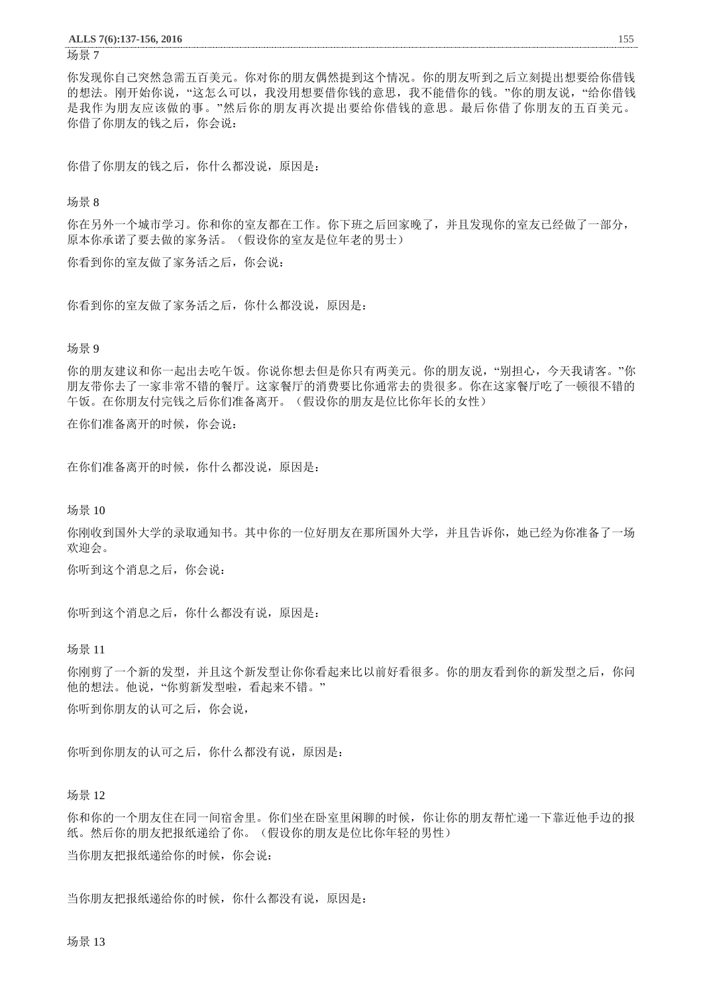#### 场景 7

你发现你自己突然急需五百美元。你对你的朋友偶然提到这个情况。你的朋友听到之后立刻提出想要给你借钱 的想法。刚开始你说,"这怎么可以,我没用想要借你钱的意思,我不能借你的钱。"你的朋友说,"给你借钱 是我作为朋友应该做的事。"然后你的朋友再次提出要给你借钱的意思。最后你借了你朋友的五百美元。 你借了你朋友的钱之后,你会说:

你借了你朋友的钱之后,你什么都没说,原因是:

# 场景 8

你在另外一个城市学习。你和你的室友都在工作。你下班之后回家晚了,并且发现你的室友已经做了一部分, 原本你承诺了要去做的家务活。(假设你的室友是位年老的男士)

你看到你的室友做了家务活之后,你会说:

你看到你的室友做了家务活之后,你什么都没说,原因是:

### 场景 9

你的朋友建议和你一起出去吃午饭。你说你想去但是你只有两美元。你的朋友说,"别担心,今天我请客。"你 朋友带你去了一家非常不错的餐厅。这家餐厅的消费要比你通常去的贵很多。你在这家餐厅吃了一顿很不错的 午饭。在你朋友付完钱之后你们准备离开。(假设你的朋友是位比你年长的女性)

在你们准备离开的时候,你会说:

在你们准备离开的时候,你什么都没说,原因是:

场景 10

你刚收到国外大学的录取通知书。其中你的一位好朋友在那所国外大学,并且告诉你,她已经为你准备了一场 欢迎会。

你听到这个消息之后,你会说:

你听到这个消息之后,你什么都没有说,原因是:

场景 11

你刚剪了一个新的发型,并且这个新发型让你你看起来比以前好看很多。你的朋友看到你的新发型之后,你问 他的想法。他说,"你剪新发型啦,看起来不错。" 你听到你朋友的认可之后,你会说,

你听到你朋友的认可之后,你什么都没有说,原因是:

# 场景 12

你和你的一个朋友住在同一间宿舍里。你们坐在卧室里闲聊的时候,你让你的朋友帮忙递一下靠近他手边的报 纸。然后你的朋友把报纸递给了你。(假设你的朋友是位比你年轻的男性) 当你朋友把报纸递给你的时候,你会说:

当你朋友把报纸递给你的时候,你什么都没有说,原因是: